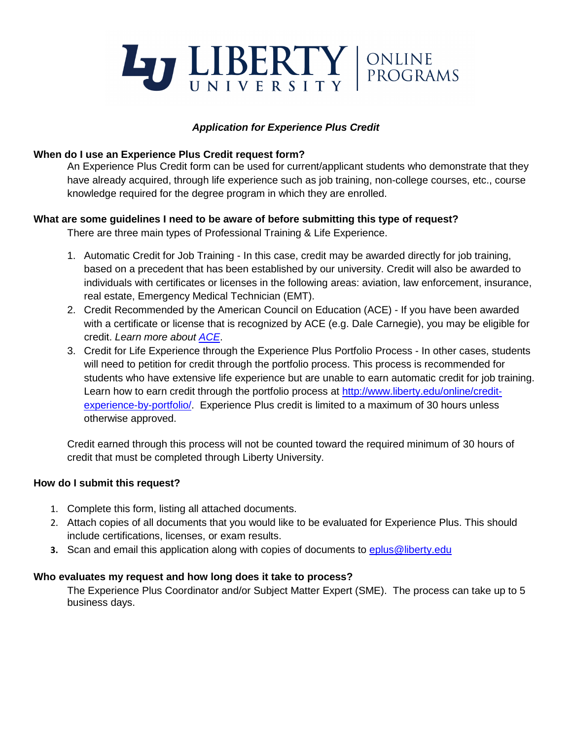

# *Application for Experience Plus Credit*

### **When do I use an Experience Plus Credit request form?**

An Experience Plus Credit form can be used for current/applicant students who demonstrate that they have already acquired, through life experience such as job training, non-college courses, etc., course knowledge required for the degree program in which they are enrolled.

## **What are some guidelines I need to be aware of before submitting this type of request?**

There are three main types of Professional Training & Life Experience.

- 1. Automatic Credit for Job Training In this case, credit may be awarded directly for job training, based on a precedent that has been established by our university. Credit will also be awarded to individuals with certificates or licenses in the following areas: aviation, law enforcement, insurance, real estate, Emergency Medical Technician (EMT).
- 2. Credit Recommended by the American Council on Education (ACE) If you have been awarded with a certificate or license that is recognized by ACE (e.g. Dale Carnegie), you may be eligible for credit. *Learn more about [ACE](http://www2.acenet.edu/credit/?fuseaction=browse.main)*.
- 3. Credit for Life Experience through the Experience Plus Portfolio Process In other cases, students will need to petition for credit through the portfolio process. This process is recommended for students who have extensive life experience but are unable to earn automatic credit for job training. Learn how to earn credit through the portfolio process at [http://www.liberty.edu/online/credit](http://www.liberty.edu/online/credit-experience-by-portfolio/)[experience-by-portfolio/.](http://www.liberty.edu/online/credit-experience-by-portfolio/) Experience Plus credit is limited to a maximum of 30 hours unless otherwise approved.

Credit earned through this process will not be counted toward the required minimum of 30 hours of credit that must be completed through Liberty University.

### **How do I submit this request?**

- 1. Complete this form, listing all attached documents.
- 2. Attach copies of all documents that you would like to be evaluated for Experience Plus. This should include certifications, licenses, or exam results.
- **3.** Scan and email this application along with copies of documents to [eplus@liberty.edu](mailto:eplus@liberty.edu)

### **Who evaluates my request and how long does it take to process?**

The Experience Plus Coordinator and/or Subject Matter Expert (SME). The process can take up to 5 business days.